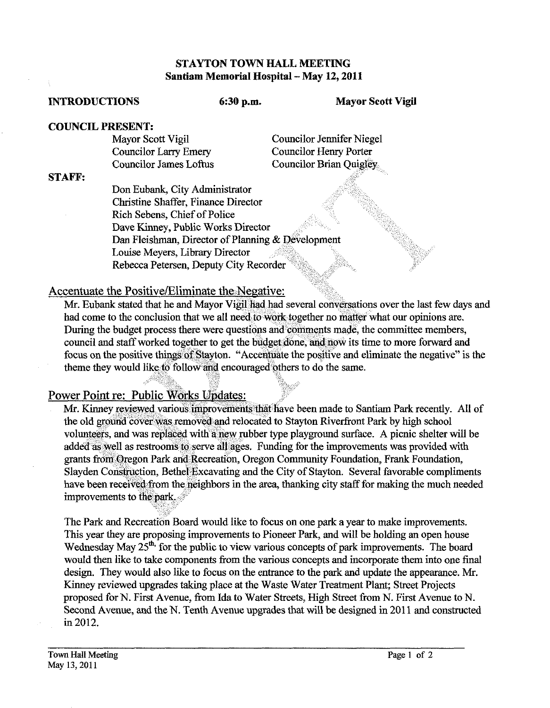#### STAYTON TOWN HALL MEETING Santiam Memorial Hospital - May 12, 2011

#### INTRODUCTIONS **6:30 p.m.** Mayor Scott **Vigil**

# COUNCIL PRESENT:<br>Mayor Scott Vigil

Councilor James Loftus

Councilor Jennifer Niegel<br>Councilor Henry Porter Councilor Larry Emery<br>
Councilor Henry Porter<br>
Councilor Brian Ouigley

### STAFF:

Don Eubank, City Administrator Christine Shaffer, Finance Director Rich Sebens, Chief of Police Dave Kinney, Public Works Director Dan Fleishman, Director of Planning & Development Louise Meyers, Library Director Rebecca Petersen, Deputy City Reco

# Accentuate the Positive/Eliminate the Negative:

Mr. Eubank stated that he and Mayor Vigil had had several conversations over the last few days and had come to the conclusion that we all need to work together no matter what our opinions are. During the budget process there were questions and comments made, the committee members, council and staff worked together to get the budget done, and now its time to more forward and focus on the positive things of Stayton. "Accentuate the positive and eliminate the negative" is the theme they would like to follow and encouraged others to do the same.

# Power Point re: Public Works Updates:

Mr. Kinnev reviewed various improvements that have been made to Santiam Park recently. All of the old ground cover was removed and relocated to Stayton Riverfront Park by high school volunteers, and was replaced with a new rubber type playground surface. A picnic shelter will be added as well as restrooms to serve all ages. Funding for the improvements was provided with grants from Oregon Park and Recreation, Oregon Community Foundation, Frank Foundation, Slayden Construction, Bethel Excavating and the City of Stayton. Several favorable compliments have been received from the neighbors in the area, thanking city staff for making the much needed improvements to the park.

The Park and Recreation Board would like to focus on one park a year to make improvements. This year they are proposing improvements to Pioneer Park, and will be holding an open house Wednesday May  $25<sup>th</sup>$ , for the public to view various concepts of park improvements. The board would then like to take components from the various concepts and incorporate them into one final design. They would also like to focus on the entrance to the park and update the appearance. Mr. Kinney reviewed upgrades taking place at the Waste Water Treatment Plant; Street Projects proposed for N. First Avenue, from Ida to Water Streets, High Street from N. First Avenue to N. Second Avenue, and the N. Tenth Avenue upgrades that will be designed in 2011 and constructed in 2012.